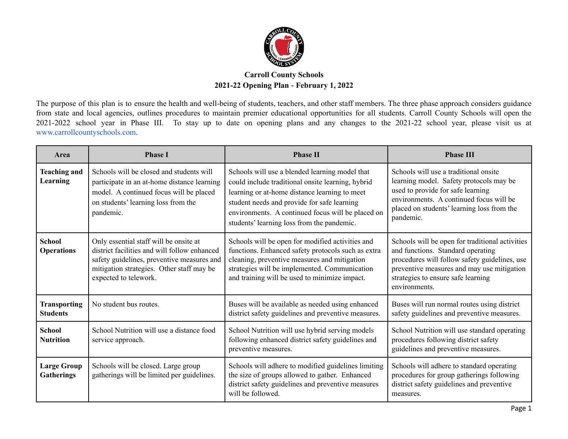

## **Carroll County Schools 2021-22 Opening Plan** - **February 1, 2022**

The purpose of this plan is to ensure the health and well-being of students, teachers, and other staff members. The three phase approach considers guidance from state and local agencies, outlines procedures to maintain premier educational opportunities for all students. Carroll County Schools will open the 2021-2022 school year in Phase III. To stay up to date on opening plans and any changes to the 2021-22 school year, please visit us at www.carrollcountyschools.com.

| Area                                    | <b>Phase I</b>                                                                                                                                                                                             | <b>Phase II</b>                                                                                                                                                                                                                                                                                        | <b>Phase III</b>                                                                                                                                                                                                                           |
|-----------------------------------------|------------------------------------------------------------------------------------------------------------------------------------------------------------------------------------------------------------|--------------------------------------------------------------------------------------------------------------------------------------------------------------------------------------------------------------------------------------------------------------------------------------------------------|--------------------------------------------------------------------------------------------------------------------------------------------------------------------------------------------------------------------------------------------|
| <b>Teaching and</b><br>Learning         | Schools will be closed and students will<br>participate in an at-home distance learning<br>model. A continued focus will be placed<br>on students' learning loss from the<br>pandemic.                     | Schools will use a blended learning model that<br>could include traditional onsite learning, hybrid<br>learning or at-home distance learning to meet<br>student needs and provide for safe learning<br>environments. A continued focus will be placed on<br>students' learning loss from the pandemic. | Schools will use a traditional onsite<br>learning model. Safety protocols may be<br>used to provide for safe learning<br>environments. A continued focus will be<br>placed on students' learning loss from the<br>pandemic.                |
| <b>School</b><br><b>Operations</b>      | Only essential staff will be onsite at<br>district facilities and will follow enhanced<br>safety guidelines, preventive measures and<br>mitigation strategies. Other staff may be<br>expected to telework. | Schools will be open for modified activities and<br>functions. Enhanced safety protocols such as extra<br>cleaning, preventive measures and mitigation<br>strategies will be implemented. Communication<br>and training will be used to minimize impact.                                               | Schools will be open for traditional activities<br>and functions. Standard operating<br>procedures will follow safety guidelines, use<br>preventive measures and may use mitigation<br>strategies to ensure safe learning<br>environments. |
| <b>Transporting</b><br><b>Students</b>  | No student bus routes.                                                                                                                                                                                     | Buses will be available as needed using enhanced<br>district safety guidelines and preventive measures.                                                                                                                                                                                                | Buses will run normal routes using district<br>safety guidelines and preventive measures.                                                                                                                                                  |
| <b>School</b><br><b>Nutrition</b>       | School Nutrition will use a distance food<br>service approach.                                                                                                                                             | School Nutrition will use hybrid serving models<br>following enhanced district safety guidelines and<br>preventive measures.                                                                                                                                                                           | School Nutrition will use standard operating<br>procedures following district safety<br>guidelines and preventive measures.                                                                                                                |
| <b>Large Group</b><br><b>Gatherings</b> | Schools will be closed. Large group<br>gatherings will be limited per guidelines.                                                                                                                          | Schools will adhere to modified guidelines limiting<br>the size of groups allowed to gather. Enhanced<br>district safety guidelines and preventive measures<br>will be followed.                                                                                                                       | Schools will adhere to standard operating<br>procedures for group gatherings following<br>district safety guidelines and preventive<br>measures.                                                                                           |